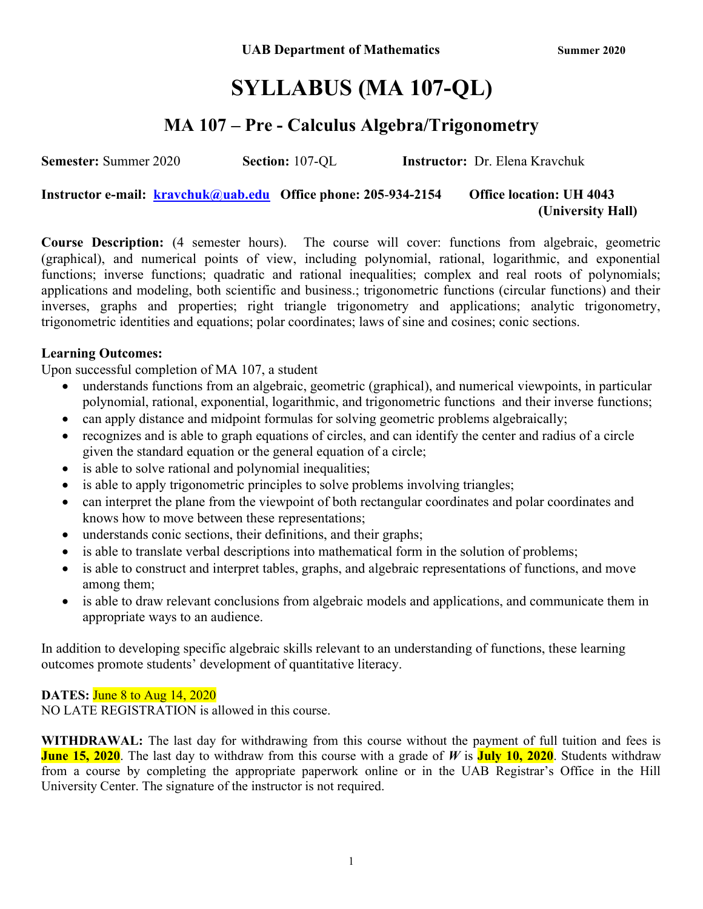# SYLLABUS (MA 107-QL)

### MA 107 – Pre - Calculus Algebra/Trigonometry

Semester: Summer 2020 Section: 107-QL Instructor: Dr. Elena Kravchuk

Instructor e-mail: **kravchuk@uab.edu** Office phone: 205-934-2154 Office location: UH 4043 (University Hall)

Course Description: (4 semester hours). The course will cover: functions from algebraic, geometric (graphical), and numerical points of view, including polynomial, rational, logarithmic, and exponential functions; inverse functions; quadratic and rational inequalities; complex and real roots of polynomials; applications and modeling, both scientific and business.; trigonometric functions (circular functions) and their inverses, graphs and properties; right triangle trigonometry and applications; analytic trigonometry, trigonometric identities and equations; polar coordinates; laws of sine and cosines; conic sections.

#### Learning Outcomes:

Upon successful completion of MA 107, a student

- understands functions from an algebraic, geometric (graphical), and numerical viewpoints, in particular polynomial, rational, exponential, logarithmic, and trigonometric functions and their inverse functions;
- can apply distance and midpoint formulas for solving geometric problems algebraically;
- recognizes and is able to graph equations of circles, and can identify the center and radius of a circle given the standard equation or the general equation of a circle;
- is able to solve rational and polynomial inequalities;
- is able to apply trigonometric principles to solve problems involving triangles;
- can interpret the plane from the viewpoint of both rectangular coordinates and polar coordinates and knows how to move between these representations;
- understands conic sections, their definitions, and their graphs;
- is able to translate verbal descriptions into mathematical form in the solution of problems;
- is able to construct and interpret tables, graphs, and algebraic representations of functions, and move among them;
- is able to draw relevant conclusions from algebraic models and applications, and communicate them in appropriate ways to an audience.

In addition to developing specific algebraic skills relevant to an understanding of functions, these learning outcomes promote students' development of quantitative literacy.

#### DATES: June 8 to Aug 14, 2020

NO LATE REGISTRATION is allowed in this course.

WITHDRAWAL: The last day for withdrawing from this course without the payment of full tuition and fees is **June 15, 2020**. The last day to withdraw from this course with a grade of W is **July 10, 2020**. Students withdraw from a course by completing the appropriate paperwork online or in the UAB Registrar's Office in the Hill University Center. The signature of the instructor is not required.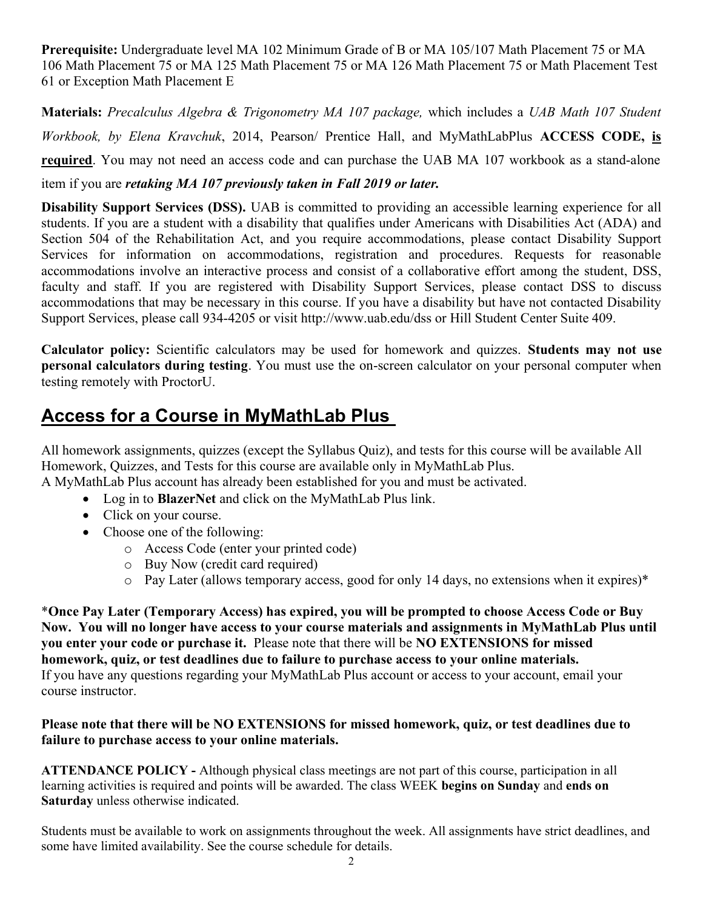Prerequisite: Undergraduate level MA 102 Minimum Grade of B or MA 105/107 Math Placement 75 or MA 106 Math Placement 75 or MA 125 Math Placement 75 or MA 126 Math Placement 75 or Math Placement Test 61 or Exception Math Placement E

Materials: Precalculus Algebra & Trigonometry MA 107 package, which includes a UAB Math 107 Student Workbook, by Elena Kravchuk, 2014, Pearson/ Prentice Hall, and MyMathLabPlus ACCESS CODE, is required. You may not need an access code and can purchase the UAB MA 107 workbook as a stand-alone

item if you are retaking MA 107 previously taken in Fall 2019 or later.

Disability Support Services (DSS). UAB is committed to providing an accessible learning experience for all students. If you are a student with a disability that qualifies under Americans with Disabilities Act (ADA) and Section 504 of the Rehabilitation Act, and you require accommodations, please contact Disability Support Services for information on accommodations, registration and procedures. Requests for reasonable accommodations involve an interactive process and consist of a collaborative effort among the student, DSS, faculty and staff. If you are registered with Disability Support Services, please contact DSS to discuss accommodations that may be necessary in this course. If you have a disability but have not contacted Disability Support Services, please call 934-4205 or visit http://www.uab.edu/dss or Hill Student Center Suite 409.

Calculator policy: Scientific calculators may be used for homework and quizzes. Students may not use personal calculators during testing. You must use the on-screen calculator on your personal computer when testing remotely with ProctorU.

## Access for a Course in MyMathLab Plus

All homework assignments, quizzes (except the Syllabus Quiz), and tests for this course will be available All Homework, Quizzes, and Tests for this course are available only in MyMathLab Plus.

A MyMathLab Plus account has already been established for you and must be activated.

- Log in to **BlazerNet** and click on the MyMathLab Plus link.
- Click on your course.
- Choose one of the following:
	- o Access Code (enter your printed code)
	- o Buy Now (credit card required)
	- o Pay Later (allows temporary access, good for only 14 days, no extensions when it expires)\*

\*Once Pay Later (Temporary Access) has expired, you will be prompted to choose Access Code or Buy Now. You will no longer have access to your course materials and assignments in MyMathLab Plus until you enter your code or purchase it. Please note that there will be NO EXTENSIONS for missed homework, quiz, or test deadlines due to failure to purchase access to your online materials. If you have any questions regarding your MyMathLab Plus account or access to your account, email your course instructor.

#### Please note that there will be NO EXTENSIONS for missed homework, quiz, or test deadlines due to failure to purchase access to your online materials.

ATTENDANCE POLICY - Although physical class meetings are not part of this course, participation in all learning activities is required and points will be awarded. The class WEEK begins on Sunday and ends on Saturday unless otherwise indicated.

Students must be available to work on assignments throughout the week. All assignments have strict deadlines, and some have limited availability. See the course schedule for details.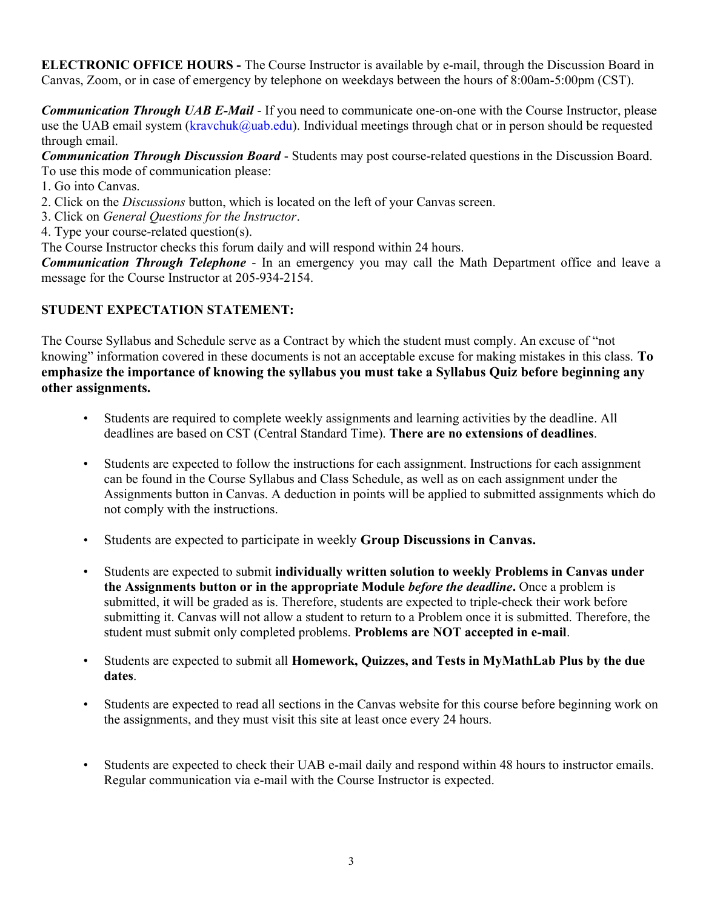ELECTRONIC OFFICE HOURS - The Course Instructor is available by e-mail, through the Discussion Board in Canvas, Zoom, or in case of emergency by telephone on weekdays between the hours of 8:00am-5:00pm (CST).

**Communication Through UAB E-Mail -** If you need to communicate one-on-one with the Course Instructor, please use the UAB email system (kravchuk@uab.edu). Individual meetings through chat or in person should be requested through email.

Communication Through Discussion Board - Students may post course-related questions in the Discussion Board. To use this mode of communication please:

1. Go into Canvas.

2. Click on the Discussions button, which is located on the left of your Canvas screen.

3. Click on General Questions for the Instructor.

4. Type your course-related question(s).

The Course Instructor checks this forum daily and will respond within 24 hours.

**Communication Through Telephone** - In an emergency you may call the Math Department office and leave a message for the Course Instructor at 205-934-2154.

#### STUDENT EXPECTATION STATEMENT:

The Course Syllabus and Schedule serve as a Contract by which the student must comply. An excuse of "not knowing" information covered in these documents is not an acceptable excuse for making mistakes in this class. To emphasize the importance of knowing the syllabus you must take a Syllabus Quiz before beginning any other assignments.

- Students are required to complete weekly assignments and learning activities by the deadline. All deadlines are based on CST (Central Standard Time). There are no extensions of deadlines.
- Students are expected to follow the instructions for each assignment. Instructions for each assignment can be found in the Course Syllabus and Class Schedule, as well as on each assignment under the Assignments button in Canvas. A deduction in points will be applied to submitted assignments which do not comply with the instructions.
- Students are expected to participate in weekly Group Discussions in Canvas.
- Students are expected to submit individually written solution to weekly Problems in Canvas under the Assignments button or in the appropriate Module *before the deadline*. Once a problem is submitted, it will be graded as is. Therefore, students are expected to triple-check their work before submitting it. Canvas will not allow a student to return to a Problem once it is submitted. Therefore, the student must submit only completed problems. Problems are NOT accepted in e-mail.
- Students are expected to submit all Homework, Quizzes, and Tests in MyMathLab Plus by the due dates.
- Students are expected to read all sections in the Canvas website for this course before beginning work on the assignments, and they must visit this site at least once every 24 hours.
- Students are expected to check their UAB e-mail daily and respond within 48 hours to instructor emails. Regular communication via e-mail with the Course Instructor is expected.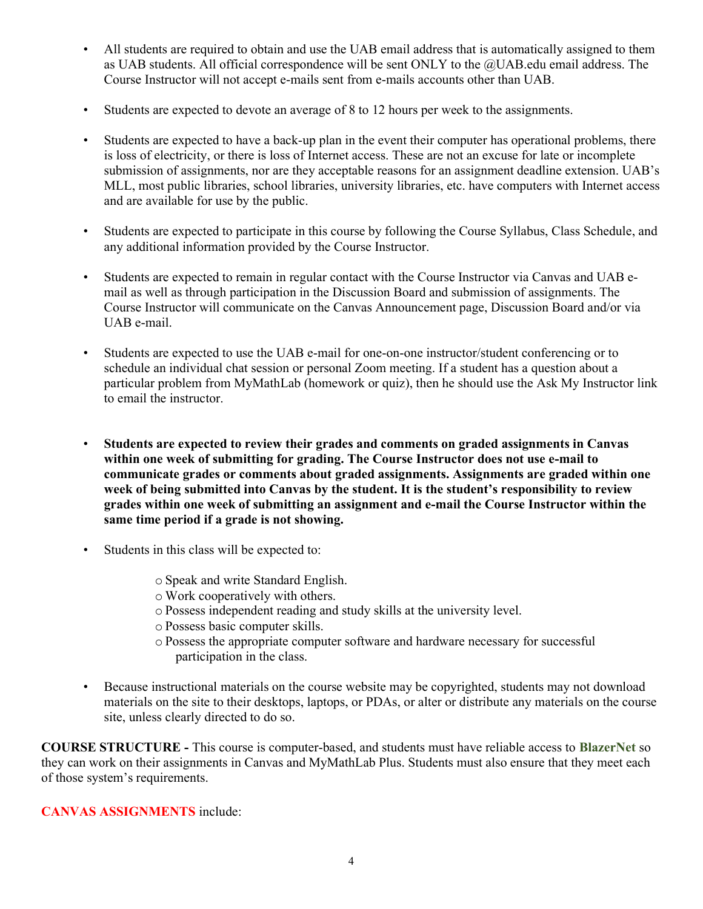- All students are required to obtain and use the UAB email address that is automatically assigned to them as UAB students. All official correspondence will be sent ONLY to the @UAB.edu email address. The Course Instructor will not accept e-mails sent from e-mails accounts other than UAB.
- Students are expected to devote an average of 8 to 12 hours per week to the assignments.
- Students are expected to have a back-up plan in the event their computer has operational problems, there is loss of electricity, or there is loss of Internet access. These are not an excuse for late or incomplete submission of assignments, nor are they acceptable reasons for an assignment deadline extension. UAB's MLL, most public libraries, school libraries, university libraries, etc. have computers with Internet access and are available for use by the public.
- Students are expected to participate in this course by following the Course Syllabus, Class Schedule, and any additional information provided by the Course Instructor.
- Students are expected to remain in regular contact with the Course Instructor via Canvas and UAB email as well as through participation in the Discussion Board and submission of assignments. The Course Instructor will communicate on the Canvas Announcement page, Discussion Board and/or via UAB e-mail.
- Students are expected to use the UAB e-mail for one-on-one instructor/student conferencing or to schedule an individual chat session or personal Zoom meeting. If a student has a question about a particular problem from MyMathLab (homework or quiz), then he should use the Ask My Instructor link to email the instructor.
- Students are expected to review their grades and comments on graded assignments in Canvas within one week of submitting for grading. The Course Instructor does not use e-mail to communicate grades or comments about graded assignments. Assignments are graded within one week of being submitted into Canvas by the student. It is the student's responsibility to review grades within one week of submitting an assignment and e-mail the Course Instructor within the same time period if a grade is not showing.
- Students in this class will be expected to:
	- o Speak and write Standard English.
	- o Work cooperatively with others.
	- o Possess independent reading and study skills at the university level.
	- o Possess basic computer skills.
	- o Possess the appropriate computer software and hardware necessary for successful participation in the class.
- Because instructional materials on the course website may be copyrighted, students may not download materials on the site to their desktops, laptops, or PDAs, or alter or distribute any materials on the course site, unless clearly directed to do so.

COURSE STRUCTURE - This course is computer-based, and students must have reliable access to BlazerNet so they can work on their assignments in Canvas and MyMathLab Plus. Students must also ensure that they meet each of those system's requirements.

CANVAS ASSIGNMENTS include: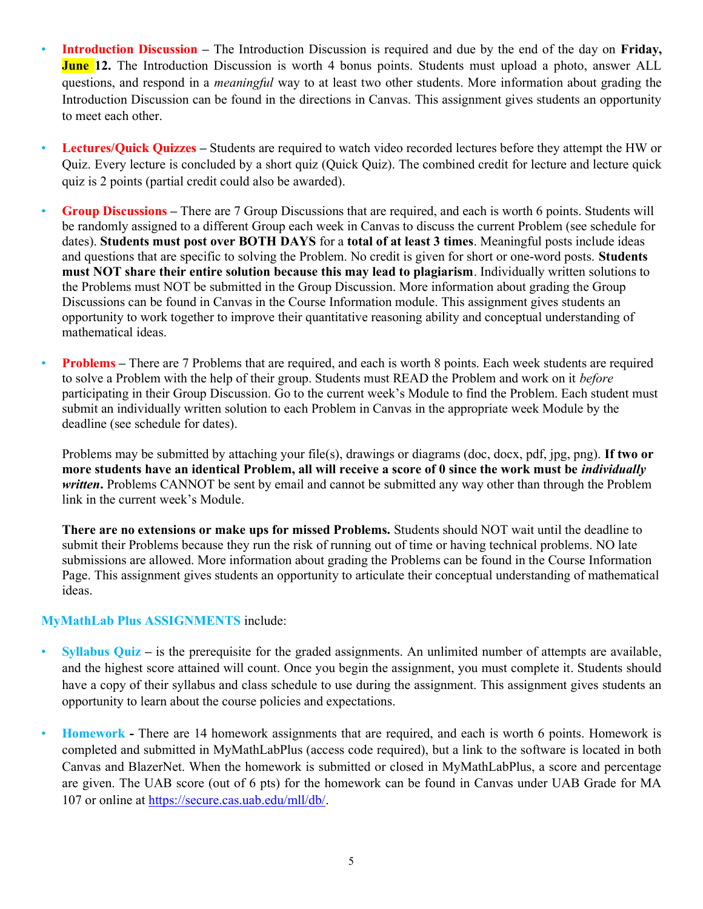- Introduction Discussion The Introduction Discussion is required and due by the end of the day on Friday, **June 12.** The Introduction Discussion is worth 4 bonus points. Students must upload a photo, answer ALL questions, and respond in a meaningful way to at least two other students. More information about grading the Introduction Discussion can be found in the directions in Canvas. This assignment gives students an opportunity to meet each other.
- Lectures/Quick Quizzes Students are required to watch video recorded lectures before they attempt the HW or Quiz. Every lecture is concluded by a short quiz (Quick Quiz). The combined credit for lecture and lecture quick quiz is 2 points (partial credit could also be awarded).
- Group Discussions There are 7 Group Discussions that are required, and each is worth 6 points. Students will be randomly assigned to a different Group each week in Canvas to discuss the current Problem (see schedule for dates). Students must post over BOTH DAYS for a total of at least 3 times. Meaningful posts include ideas and questions that are specific to solving the Problem. No credit is given for short or one-word posts. Students must NOT share their entire solution because this may lead to plagiarism. Individually written solutions to the Problems must NOT be submitted in the Group Discussion. More information about grading the Group Discussions can be found in Canvas in the Course Information module. This assignment gives students an opportunity to work together to improve their quantitative reasoning ability and conceptual understanding of mathematical ideas.
- Problems There are 7 Problems that are required, and each is worth 8 points. Each week students are required to solve a Problem with the help of their group. Students must READ the Problem and work on it before participating in their Group Discussion. Go to the current week's Module to find the Problem. Each student must submit an individually written solution to each Problem in Canvas in the appropriate week Module by the deadline (see schedule for dates).

Problems may be submitted by attaching your file(s), drawings or diagrams (doc, docx, pdf, jpg, png). If two or more students have an identical Problem, all will receive a score of 0 since the work must be individually written. Problems CANNOT be sent by email and cannot be submitted any way other than through the Problem link in the current week's Module.

There are no extensions or make ups for missed Problems. Students should NOT wait until the deadline to submit their Problems because they run the risk of running out of time or having technical problems. NO late submissions are allowed. More information about grading the Problems can be found in the Course Information Page. This assignment gives students an opportunity to articulate their conceptual understanding of mathematical ideas.

#### MyMathLab Plus ASSIGNMENTS include:

- Syllabus Quiz is the prerequisite for the graded assignments. An unlimited number of attempts are available, and the highest score attained will count. Once you begin the assignment, you must complete it. Students should have a copy of their syllabus and class schedule to use during the assignment. This assignment gives students an opportunity to learn about the course policies and expectations.
- Homework There are 14 homework assignments that are required, and each is worth 6 points. Homework is completed and submitted in MyMathLabPlus (access code required), but a link to the software is located in both Canvas and BlazerNet. When the homework is submitted or closed in MyMathLabPlus, a score and percentage are given. The UAB score (out of 6 pts) for the homework can be found in Canvas under UAB Grade for MA 107 or online at https://secure.cas.uab.edu/mll/db/.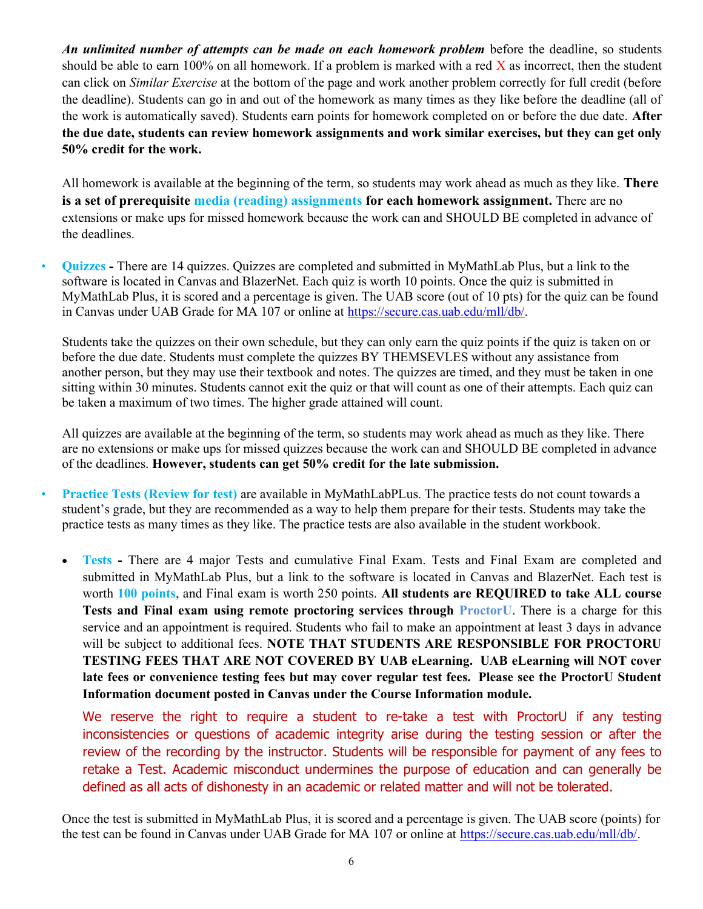An unlimited number of attempts can be made on each homework problem before the deadline, so students should be able to earn 100% on all homework. If a problem is marked with a red  $\bar{X}$  as incorrect, then the student can click on Similar Exercise at the bottom of the page and work another problem correctly for full credit (before the deadline). Students can go in and out of the homework as many times as they like before the deadline (all of the work is automatically saved). Students earn points for homework completed on or before the due date. After the due date, students can review homework assignments and work similar exercises, but they can get only 50% credit for the work.

All homework is available at the beginning of the term, so students may work ahead as much as they like. There is a set of prerequisite media (reading) assignments for each homework assignment. There are no extensions or make ups for missed homework because the work can and SHOULD BE completed in advance of the deadlines.

• Quizzes - There are 14 quizzes. Quizzes are completed and submitted in MyMathLab Plus, but a link to the software is located in Canvas and BlazerNet. Each quiz is worth 10 points. Once the quiz is submitted in MyMathLab Plus, it is scored and a percentage is given. The UAB score (out of 10 pts) for the quiz can be found in Canvas under UAB Grade for MA 107 or online at https://secure.cas.uab.edu/mll/db/.

Students take the quizzes on their own schedule, but they can only earn the quiz points if the quiz is taken on or before the due date. Students must complete the quizzes BY THEMSEVLES without any assistance from another person, but they may use their textbook and notes. The quizzes are timed, and they must be taken in one sitting within 30 minutes. Students cannot exit the quiz or that will count as one of their attempts. Each quiz can be taken a maximum of two times. The higher grade attained will count.

All quizzes are available at the beginning of the term, so students may work ahead as much as they like. There are no extensions or make ups for missed quizzes because the work can and SHOULD BE completed in advance of the deadlines. However, students can get 50% credit for the late submission.

- Practice Tests (Review for test) are available in MyMathLabPLus. The practice tests do not count towards a student's grade, but they are recommended as a way to help them prepare for their tests. Students may take the practice tests as many times as they like. The practice tests are also available in the student workbook.
	- Tests There are 4 major Tests and cumulative Final Exam. Tests and Final Exam are completed and submitted in MyMathLab Plus, but a link to the software is located in Canvas and BlazerNet. Each test is worth 100 points, and Final exam is worth 250 points. All students are REQUIRED to take ALL course Tests and Final exam using remote proctoring services through ProctorU. There is a charge for this service and an appointment is required. Students who fail to make an appointment at least 3 days in advance will be subject to additional fees. NOTE THAT STUDENTS ARE RESPONSIBLE FOR PROCTORU TESTING FEES THAT ARE NOT COVERED BY UAB eLearning. UAB eLearning will NOT cover late fees or convenience testing fees but may cover regular test fees. Please see the ProctorU Student Information document posted in Canvas under the Course Information module.

We reserve the right to require a student to re-take a test with ProctorU if any testing inconsistencies or questions of academic integrity arise during the testing session or after the review of the recording by the instructor. Students will be responsible for payment of any fees to retake a Test. Academic misconduct undermines the purpose of education and can generally be defined as all acts of dishonesty in an academic or related matter and will not be tolerated.

Once the test is submitted in MyMathLab Plus, it is scored and a percentage is given. The UAB score (points) for the test can be found in Canvas under UAB Grade for MA 107 or online at https://secure.cas.uab.edu/mll/db/.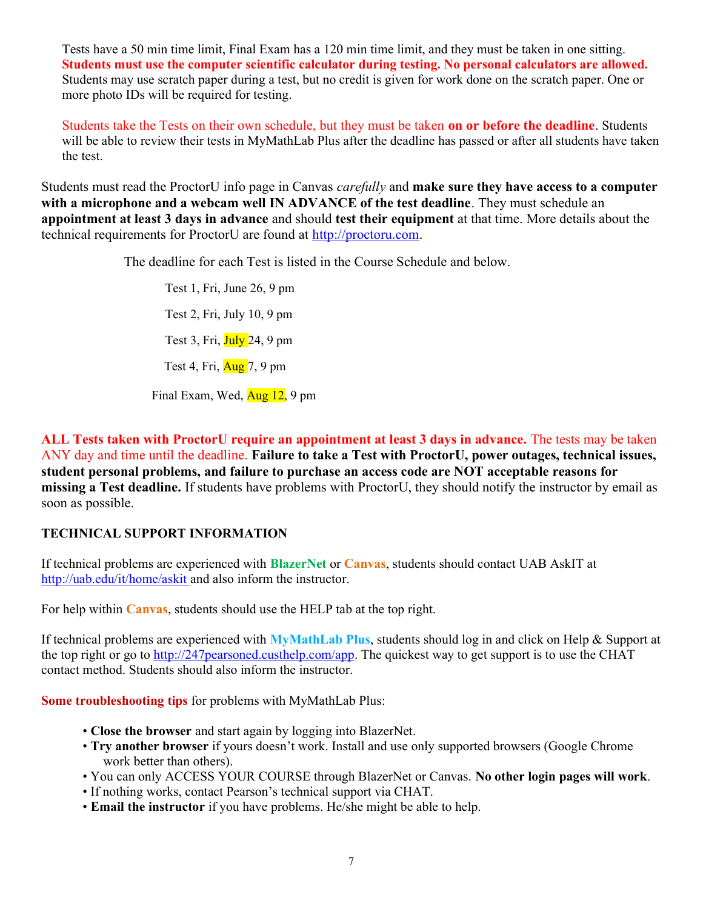Tests have a 50 min time limit, Final Exam has a 120 min time limit, and they must be taken in one sitting. Students must use the computer scientific calculator during testing. No personal calculators are allowed. Students may use scratch paper during a test, but no credit is given for work done on the scratch paper. One or more photo IDs will be required for testing.

Students take the Tests on their own schedule, but they must be taken on or before the deadline. Students will be able to review their tests in MyMathLab Plus after the deadline has passed or after all students have taken the test.

Students must read the ProctorU info page in Canvas *carefully* and **make sure they have access to a computer** with a microphone and a webcam well IN ADVANCE of the test deadline. They must schedule an appointment at least 3 days in advance and should test their equipment at that time. More details about the technical requirements for ProctorU are found at http://proctoru.com.

The deadline for each Test is listed in the Course Schedule and below.

Test 1, Fri, June 26, 9 pm Test 2, Fri, July 10, 9 pm Test 3, Fri, July 24, 9 pm Test 4, Fri,  $\frac{\text{Aug}}{\text{7}}$ , 9 pm

Final Exam, Wed, Aug 12, 9 pm

ALL Tests taken with ProctorU require an appointment at least 3 days in advance. The tests may be taken ANY day and time until the deadline. Failure to take a Test with ProctorU, power outages, technical issues, student personal problems, and failure to purchase an access code are NOT acceptable reasons for missing a Test deadline. If students have problems with ProctorU, they should notify the instructor by email as soon as possible.

#### TECHNICAL SUPPORT INFORMATION

If technical problems are experienced with **BlazerNet** or **Canvas**, students should contact UAB AskIT at http://uab.edu/it/home/askit and also inform the instructor.

For help within Canvas, students should use the HELP tab at the top right.

If technical problems are experienced with MyMathLab Plus, students should log in and click on Help & Support at the top right or go to http://247pearsoned.custhelp.com/app. The quickest way to get support is to use the CHAT contact method. Students should also inform the instructor.

Some troubleshooting tips for problems with MyMathLab Plus:

- Close the browser and start again by logging into BlazerNet.
- Try another browser if yours doesn't work. Install and use only supported browsers (Google Chrome work better than others).
- You can only ACCESS YOUR COURSE through BlazerNet or Canvas. No other login pages will work.
- If nothing works, contact Pearson's technical support via CHAT.
- Email the instructor if you have problems. He/she might be able to help.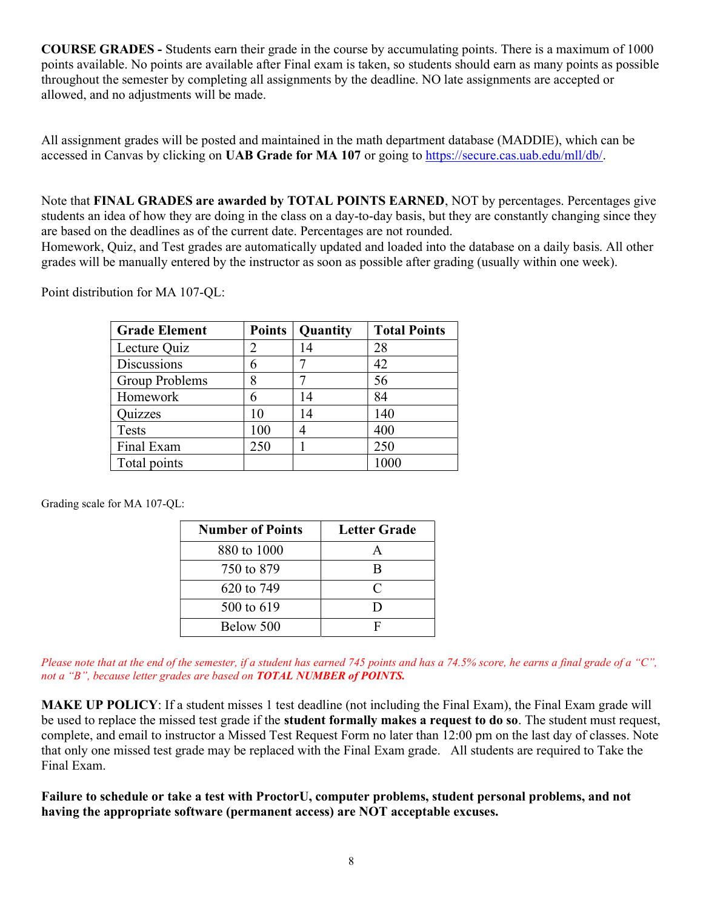COURSE GRADES - Students earn their grade in the course by accumulating points. There is a maximum of 1000 points available. No points are available after Final exam is taken, so students should earn as many points as possible throughout the semester by completing all assignments by the deadline. NO late assignments are accepted or allowed, and no adjustments will be made.

All assignment grades will be posted and maintained in the math department database (MADDIE), which can be accessed in Canvas by clicking on UAB Grade for MA 107 or going to https://secure.cas.uab.edu/mll/db/.

Note that FINAL GRADES are awarded by TOTAL POINTS EARNED, NOT by percentages. Percentages give students an idea of how they are doing in the class on a day-to-day basis, but they are constantly changing since they are based on the deadlines as of the current date. Percentages are not rounded.

Homework, Quiz, and Test grades are automatically updated and loaded into the database on a daily basis. All other grades will be manually entered by the instructor as soon as possible after grading (usually within one week).

| <b>Grade Element</b> | <b>Points</b> | Quantity | <b>Total Points</b> |
|----------------------|---------------|----------|---------------------|
| Lecture Quiz         | 2             | 14       | 28                  |
| Discussions          |               |          | 42                  |
| Group Problems       | 8             |          | 56                  |
| Homework             |               | 14       | 84                  |
| Quizzes              | 10            | 14       | 140                 |
| <b>Tests</b>         | 100           | 4        | 400                 |
| Final Exam           | 250           |          | 250                 |
| Total points         |               |          |                     |

Point distribution for MA 107-QL:

Grading scale for MA 107-QL:

| <b>Number of Points</b> | <b>Letter Grade</b> |
|-------------------------|---------------------|
| 880 to 1000             | А                   |
| 750 to 879              | R                   |
| 620 to 749              | $\subset$           |
| 500 to 619              | ו ו                 |
| Below 500               |                     |

Please note that at the end of the semester, if a student has earned 745 points and has a 74.5% score, he earns a final grade of a "C", not a "B", because letter grades are based on **TOTAL NUMBER of POINTS.** 

MAKE UP POLICY: If a student misses 1 test deadline (not including the Final Exam), the Final Exam grade will be used to replace the missed test grade if the student formally makes a request to do so. The student must request, complete, and email to instructor a Missed Test Request Form no later than 12:00 pm on the last day of classes. Note that only one missed test grade may be replaced with the Final Exam grade. All students are required to Take the Final Exam.

Failure to schedule or take a test with ProctorU, computer problems, student personal problems, and not having the appropriate software (permanent access) are NOT acceptable excuses.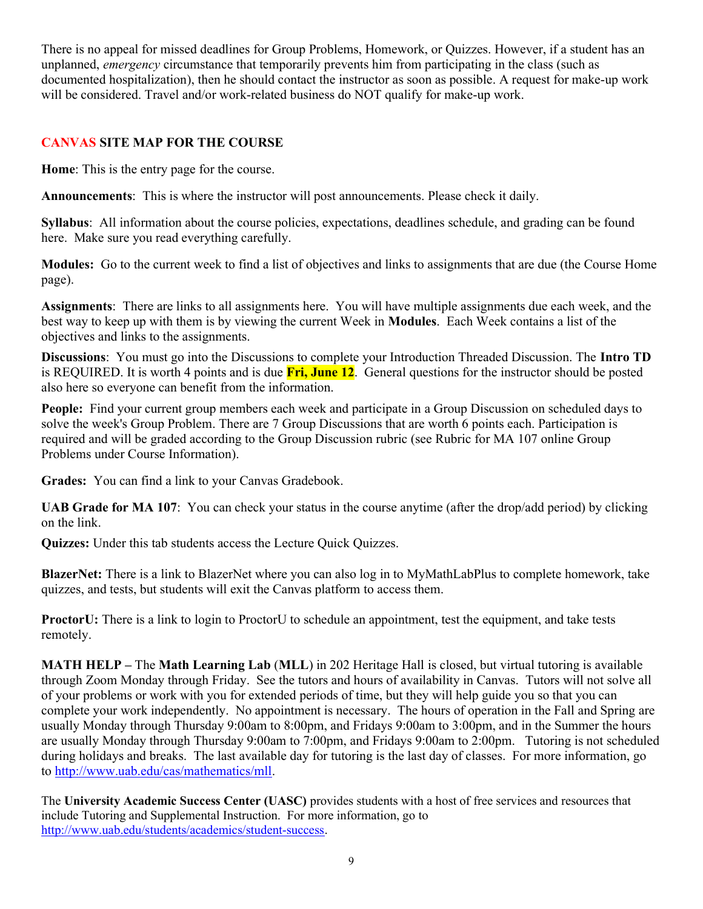There is no appeal for missed deadlines for Group Problems, Homework, or Quizzes. However, if a student has an unplanned, *emergency* circumstance that temporarily prevents him from participating in the class (such as documented hospitalization), then he should contact the instructor as soon as possible. A request for make-up work will be considered. Travel and/or work-related business do NOT qualify for make-up work.

#### CANVAS SITE MAP FOR THE COURSE

Home: This is the entry page for the course.

Announcements: This is where the instructor will post announcements. Please check it daily.

Syllabus: All information about the course policies, expectations, deadlines schedule, and grading can be found here. Make sure you read everything carefully.

Modules: Go to the current week to find a list of objectives and links to assignments that are due (the Course Home page).

Assignments: There are links to all assignments here. You will have multiple assignments due each week, and the best way to keep up with them is by viewing the current Week in Modules. Each Week contains a list of the objectives and links to the assignments.

Discussions: You must go into the Discussions to complete your Introduction Threaded Discussion. The Intro TD is REQUIRED. It is worth 4 points and is due  $\overline{Fri}$ , June 12. General questions for the instructor should be posted also here so everyone can benefit from the information.

People: Find your current group members each week and participate in a Group Discussion on scheduled days to solve the week's Group Problem. There are 7 Group Discussions that are worth 6 points each. Participation is required and will be graded according to the Group Discussion rubric (see Rubric for MA 107 online Group Problems under Course Information).

Grades: You can find a link to your Canvas Gradebook.

UAB Grade for MA 107: You can check your status in the course anytime (after the drop/add period) by clicking on the link.

Quizzes: Under this tab students access the Lecture Quick Quizzes.

BlazerNet: There is a link to BlazerNet where you can also log in to MyMathLabPlus to complete homework, take quizzes, and tests, but students will exit the Canvas platform to access them.

ProctorU: There is a link to login to ProctorU to schedule an appointment, test the equipment, and take tests remotely.

MATH HELP – The Math Learning Lab (MLL) in 202 Heritage Hall is closed, but virtual tutoring is available through Zoom Monday through Friday. See the tutors and hours of availability in Canvas. Tutors will not solve all of your problems or work with you for extended periods of time, but they will help guide you so that you can complete your work independently. No appointment is necessary. The hours of operation in the Fall and Spring are usually Monday through Thursday 9:00am to 8:00pm, and Fridays 9:00am to 3:00pm, and in the Summer the hours are usually Monday through Thursday 9:00am to 7:00pm, and Fridays 9:00am to 2:00pm. Tutoring is not scheduled during holidays and breaks. The last available day for tutoring is the last day of classes. For more information, go to http://www.uab.edu/cas/mathematics/mll.

The University Academic Success Center (UASC) provides students with a host of free services and resources that include Tutoring and Supplemental Instruction. For more information, go to http://www.uab.edu/students/academics/student-success.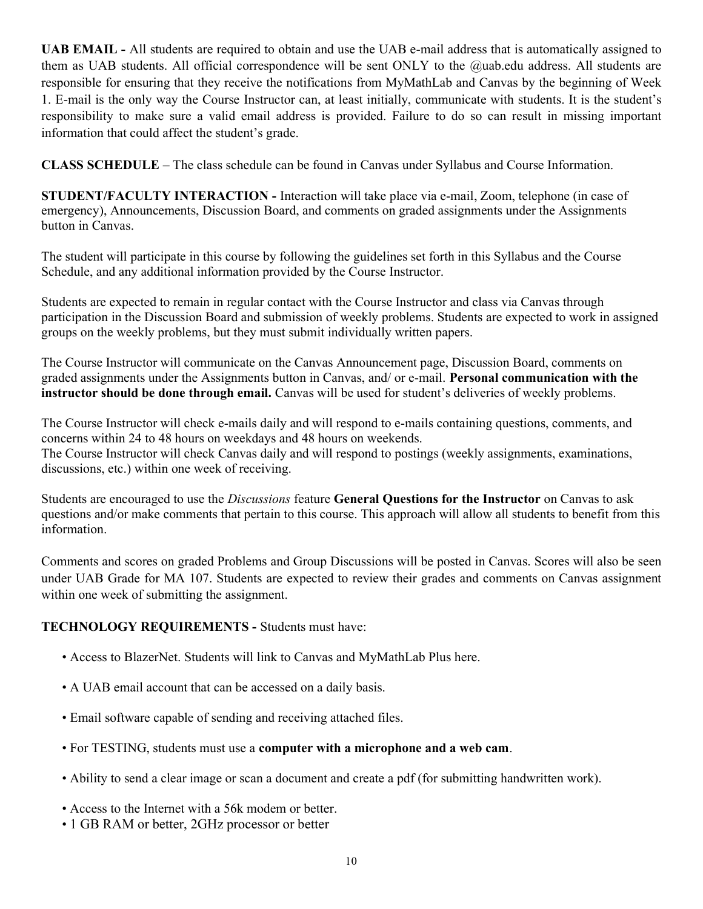UAB EMAIL - All students are required to obtain and use the UAB e-mail address that is automatically assigned to them as UAB students. All official correspondence will be sent ONLY to the @uab.edu address. All students are responsible for ensuring that they receive the notifications from MyMathLab and Canvas by the beginning of Week 1. E-mail is the only way the Course Instructor can, at least initially, communicate with students. It is the student's responsibility to make sure a valid email address is provided. Failure to do so can result in missing important information that could affect the student's grade.

CLASS SCHEDULE – The class schedule can be found in Canvas under Syllabus and Course Information.

STUDENT/FACULTY INTERACTION - Interaction will take place via e-mail, Zoom, telephone (in case of emergency), Announcements, Discussion Board, and comments on graded assignments under the Assignments button in Canvas.

The student will participate in this course by following the guidelines set forth in this Syllabus and the Course Schedule, and any additional information provided by the Course Instructor.

Students are expected to remain in regular contact with the Course Instructor and class via Canvas through participation in the Discussion Board and submission of weekly problems. Students are expected to work in assigned groups on the weekly problems, but they must submit individually written papers.

The Course Instructor will communicate on the Canvas Announcement page, Discussion Board, comments on graded assignments under the Assignments button in Canvas, and/ or e-mail. Personal communication with the instructor should be done through email. Canvas will be used for student's deliveries of weekly problems.

The Course Instructor will check e-mails daily and will respond to e-mails containing questions, comments, and concerns within 24 to 48 hours on weekdays and 48 hours on weekends. The Course Instructor will check Canvas daily and will respond to postings (weekly assignments, examinations, discussions, etc.) within one week of receiving.

Students are encouraged to use the Discussions feature General Questions for the Instructor on Canvas to ask questions and/or make comments that pertain to this course. This approach will allow all students to benefit from this information.

Comments and scores on graded Problems and Group Discussions will be posted in Canvas. Scores will also be seen under UAB Grade for MA 107. Students are expected to review their grades and comments on Canvas assignment within one week of submitting the assignment.

#### TECHNOLOGY REQUIREMENTS - Students must have:

- Access to BlazerNet. Students will link to Canvas and MyMathLab Plus here.
- A UAB email account that can be accessed on a daily basis.
- Email software capable of sending and receiving attached files.
- For TESTING, students must use a computer with a microphone and a web cam.
- Ability to send a clear image or scan a document and create a pdf (for submitting handwritten work).
- Access to the Internet with a 56k modem or better.
- 1 GB RAM or better, 2GHz processor or better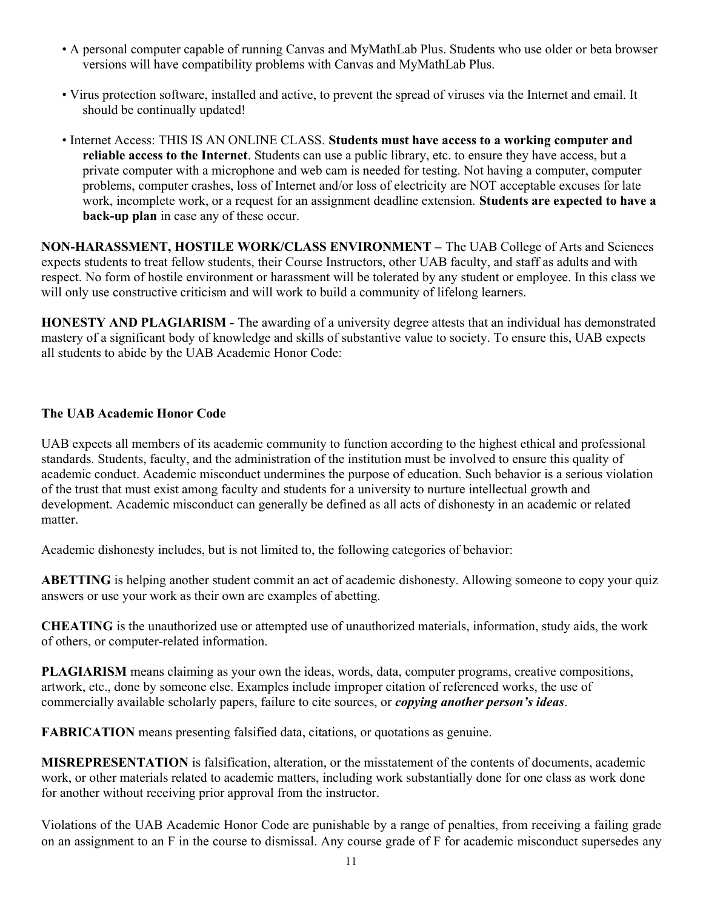- A personal computer capable of running Canvas and MyMathLab Plus. Students who use older or beta browser versions will have compatibility problems with Canvas and MyMathLab Plus.
- Virus protection software, installed and active, to prevent the spread of viruses via the Internet and email. It should be continually updated!
- Internet Access: THIS IS AN ONLINE CLASS. Students must have access to a working computer and reliable access to the Internet. Students can use a public library, etc. to ensure they have access, but a private computer with a microphone and web cam is needed for testing. Not having a computer, computer problems, computer crashes, loss of Internet and/or loss of electricity are NOT acceptable excuses for late work, incomplete work, or a request for an assignment deadline extension. Students are expected to have a back-up plan in case any of these occur.

NON-HARASSMENT, HOSTILE WORK/CLASS ENVIRONMENT – The UAB College of Arts and Sciences expects students to treat fellow students, their Course Instructors, other UAB faculty, and staff as adults and with respect. No form of hostile environment or harassment will be tolerated by any student or employee. In this class we will only use constructive criticism and will work to build a community of lifelong learners.

HONESTY AND PLAGIARISM - The awarding of a university degree attests that an individual has demonstrated mastery of a significant body of knowledge and skills of substantive value to society. To ensure this, UAB expects all students to abide by the UAB Academic Honor Code:

#### The UAB Academic Honor Code

UAB expects all members of its academic community to function according to the highest ethical and professional standards. Students, faculty, and the administration of the institution must be involved to ensure this quality of academic conduct. Academic misconduct undermines the purpose of education. Such behavior is a serious violation of the trust that must exist among faculty and students for a university to nurture intellectual growth and development. Academic misconduct can generally be defined as all acts of dishonesty in an academic or related matter.

Academic dishonesty includes, but is not limited to, the following categories of behavior:

ABETTING is helping another student commit an act of academic dishonesty. Allowing someone to copy your quiz answers or use your work as their own are examples of abetting.

CHEATING is the unauthorized use or attempted use of unauthorized materials, information, study aids, the work of others, or computer-related information.

PLAGIARISM means claiming as your own the ideas, words, data, computer programs, creative compositions, artwork, etc., done by someone else. Examples include improper citation of referenced works, the use of commercially available scholarly papers, failure to cite sources, or *copying another person's ideas*.

FABRICATION means presenting falsified data, citations, or quotations as genuine.

MISREPRESENTATION is falsification, alteration, or the misstatement of the contents of documents, academic work, or other materials related to academic matters, including work substantially done for one class as work done for another without receiving prior approval from the instructor.

Violations of the UAB Academic Honor Code are punishable by a range of penalties, from receiving a failing grade on an assignment to an F in the course to dismissal. Any course grade of F for academic misconduct supersedes any